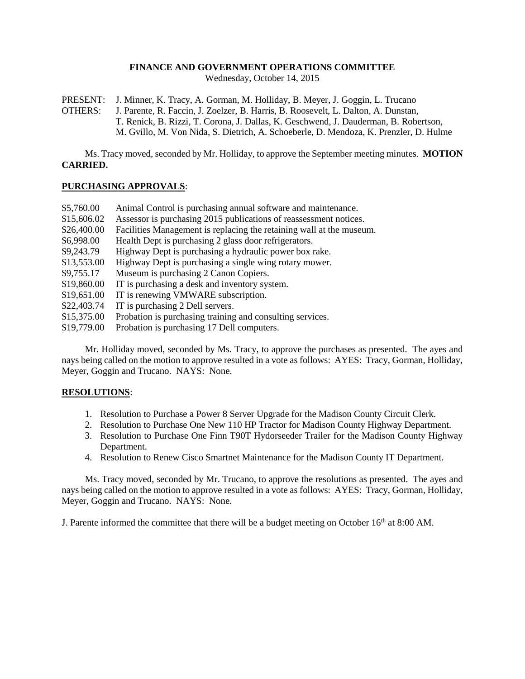# **FINANCE AND GOVERNMENT OPERATIONS COMMITTEE**

Wednesday, October 14, 2015

PRESENT: J. Minner, K. Tracy, A. Gorman, M. Holliday, B. Meyer, J. Goggin, L. Trucano

OTHERS: J. Parente, R. Faccin, J. Zoelzer, B. Harris, B. Roosevelt, L. Dalton, A. Dunstan, T. Renick, B. Rizzi, T. Corona, J. Dallas, K. Geschwend, J. Dauderman, B. Robertson, M. Gvillo, M. Von Nida, S. Dietrich, A. Schoeberle, D. Mendoza, K. Prenzler, D. Hulme

Ms. Tracy moved, seconded by Mr. Holliday, to approve the September meeting minutes. **MOTION CARRIED.**

## **PURCHASING APPROVALS**:

| Assessor is purchasing 2015 publications of reassessment notices.    |
|----------------------------------------------------------------------|
|                                                                      |
| Facilities Management is replacing the retaining wall at the museum. |
|                                                                      |
|                                                                      |
|                                                                      |
|                                                                      |
|                                                                      |
|                                                                      |
|                                                                      |
|                                                                      |
|                                                                      |
|                                                                      |

Mr. Holliday moved, seconded by Ms. Tracy, to approve the purchases as presented. The ayes and nays being called on the motion to approve resulted in a vote as follows: AYES: Tracy, Gorman, Holliday, Meyer, Goggin and Trucano. NAYS: None.

#### **RESOLUTIONS**:

- 1. Resolution to Purchase a Power 8 Server Upgrade for the Madison County Circuit Clerk.
- 2. Resolution to Purchase One New 110 HP Tractor for Madison County Highway Department.
- 3. Resolution to Purchase One Finn T90T Hydorseeder Trailer for the Madison County Highway Department.
- 4. Resolution to Renew Cisco Smartnet Maintenance for the Madison County IT Department.

Ms. Tracy moved, seconded by Mr. Trucano, to approve the resolutions as presented. The ayes and nays being called on the motion to approve resulted in a vote as follows: AYES: Tracy, Gorman, Holliday, Meyer, Goggin and Trucano. NAYS: None.

J. Parente informed the committee that there will be a budget meeting on October  $16<sup>th</sup>$  at 8:00 AM.